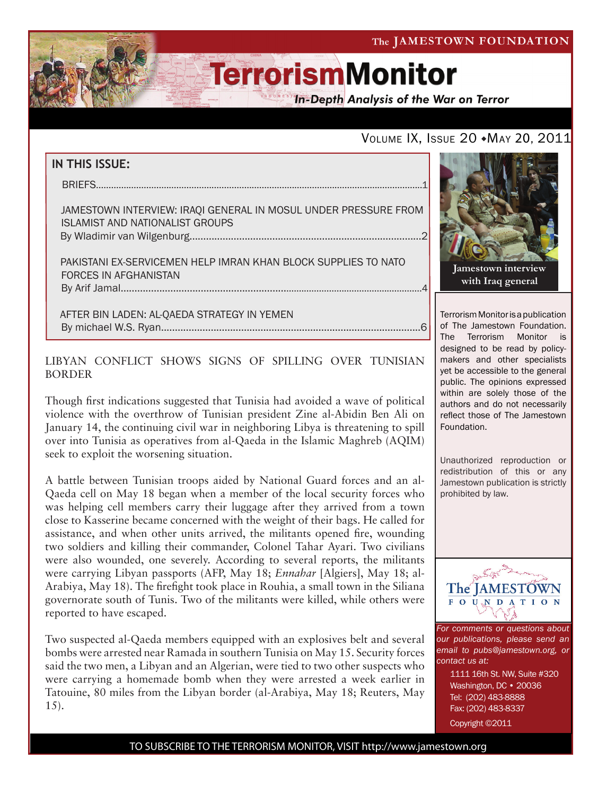

**In-Depth Analysis of the War on Terror** 

### VOLUME IX, ISSUE 20  $*$ May 20, 2011

### **IN THIS ISSUE:**

briefs..................................................................................................................................1

 Jamestown Interview: Iraqi General in Mosul Under Pressure From Islamist and Nationalist Groups By Wladimir van Wilgenburg....................................................................................2

 Pakistani Ex-Servicemen Help Imran Khan Block Supplies to NATO Forces in Afghanistan by Arif Jamal..................................................................................................................4

 AFTER BIN LADEN: AL-QAEDA STRATEGY IN YEMEN By michael W.S. Ryan..............................................................................................6

LIBYAN CONFLICT SHOWS SIGNS OF SPILLING OVER TUNISIAN BORDER

Though first indications suggested that Tunisia had avoided a wave of political violence with the overthrow of Tunisian president Zine al-Abidin Ben Ali on January 14, the continuing civil war in neighboring Libya is threatening to spill over into Tunisia as operatives from al-Qaeda in the Islamic Maghreb (AQIM) seek to exploit the worsening situation.

A battle between Tunisian troops aided by National Guard forces and an al-Qaeda cell on May 18 began when a member of the local security forces who was helping cell members carry their luggage after they arrived from a town close to Kasserine became concerned with the weight of their bags. He called for assistance, and when other units arrived, the militants opened fire, wounding two soldiers and killing their commander, Colonel Tahar Ayari. Two civilians were also wounded, one severely. According to several reports, the militants were carrying Libyan passports (AFP, May 18; *Ennahar* [Algiers], May 18; al-Arabiya, May 18). The firefight took place in Rouhia, a small town in the Siliana governorate south of Tunis. Two of the militants were killed, while others were reported to have escaped.

Two suspected al-Qaeda members equipped with an explosives belt and several bombs were arrested near Ramada in southern Tunisia on May 15. Security forces said the two men, a Libyan and an Algerian, were tied to two other suspects who were carrying a homemade bomb when they were arrested a week earlier in Tatouine, 80 miles from the Libyan border (al-Arabiya, May 18; Reuters, May 15).



**with Iraq general**

Terrorism Monitor is a publication of The Jamestown Foundation. The Terrorism Monitor is designed to be read by policymakers and other specialists yet be accessible to the general public. The opinions expressed within are solely those of the authors and do not necessarily reflect those of The Jamestown Foundation.

Unauthorized reproduction or redistribution of this or any Jamestown publication is strictly prohibited by law.



*For comments or questions about our publications, please send an email to pubs@jamestown.org, or contact us at:* 

> 1111 16th St. NW, Suite #320 Washington, DC • 20036 Tel: (202) 483-8888 Fax: (202) 483-8337

Copyright ©2011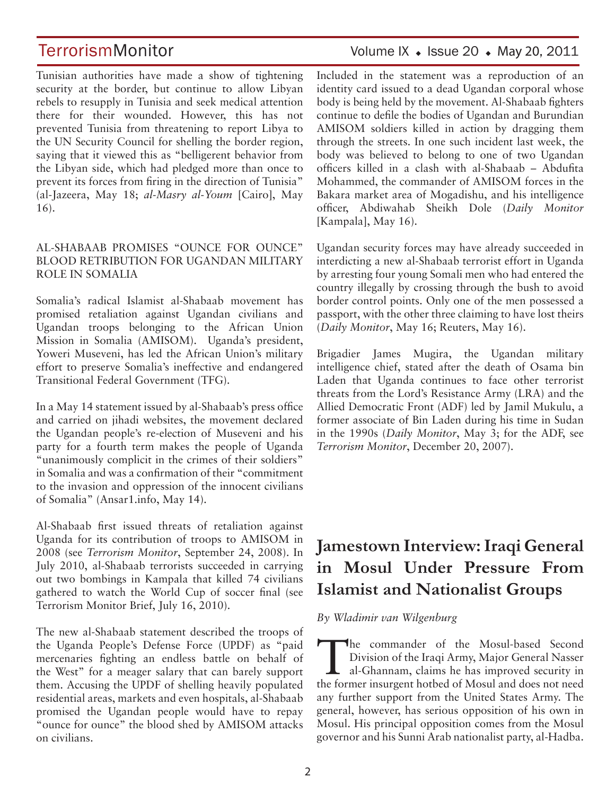Tunisian authorities have made a show of tightening security at the border, but continue to allow Libyan rebels to resupply in Tunisia and seek medical attention there for their wounded. However, this has not prevented Tunisia from threatening to report Libya to the UN Security Council for shelling the border region, saying that it viewed this as "belligerent behavior from the Libyan side, which had pledged more than once to prevent its forces from firing in the direction of Tunisia" (al-Jazeera, May 18; *al-Masry al-Youm* [Cairo], May 16).

#### AL-SHABAAB PROMISES "OUNCE FOR OUNCE" BLOOD RETRIBUTION FOR UGANDAN MILITARY ROLE IN SOMALIA

Somalia's radical Islamist al-Shabaab movement has promised retaliation against Ugandan civilians and Ugandan troops belonging to the African Union Mission in Somalia (AMISOM). Uganda's president, Yoweri Museveni, has led the African Union's military effort to preserve Somalia's ineffective and endangered Transitional Federal Government (TFG).

In a May 14 statement issued by al-Shabaab's press office and carried on jihadi websites, the movement declared the Ugandan people's re-election of Museveni and his party for a fourth term makes the people of Uganda "unanimously complicit in the crimes of their soldiers" in Somalia and was a confirmation of their "commitment to the invasion and oppression of the innocent civilians of Somalia" (Ansar1.info, May 14).

Al-Shabaab first issued threats of retaliation against Uganda for its contribution of troops to AMISOM in 2008 (see *Terrorism Monitor*, September 24, 2008). In July 2010, al-Shabaab terrorists succeeded in carrying out two bombings in Kampala that killed 74 civilians gathered to watch the World Cup of soccer final (see Terrorism Monitor Brief, July 16, 2010).

The new al-Shabaab statement described the troops of the Uganda People's Defense Force (UPDF) as "paid mercenaries fighting an endless battle on behalf of the West" for a meager salary that can barely support them. Accusing the UPDF of shelling heavily populated residential areas, markets and even hospitals, al-Shabaab promised the Ugandan people would have to repay "ounce for ounce" the blood shed by AMISOM attacks on civilians.

## TerrorismMonitor Volume IX + Issue 20 + May 20, 2011

Included in the statement was a reproduction of an identity card issued to a dead Ugandan corporal whose body is being held by the movement. Al-Shabaab fighters continue to defile the bodies of Ugandan and Burundian AMISOM soldiers killed in action by dragging them through the streets. In one such incident last week, the body was believed to belong to one of two Ugandan officers killed in a clash with al-Shabaab – Abdufita Mohammed, the commander of AMISOM forces in the Bakara market area of Mogadishu, and his intelligence officer, Abdiwahab Sheikh Dole (*Daily Monitor* [Kampala], May 16).

Ugandan security forces may have already succeeded in interdicting a new al-Shabaab terrorist effort in Uganda by arresting four young Somali men who had entered the country illegally by crossing through the bush to avoid border control points. Only one of the men possessed a passport, with the other three claiming to have lost theirs (*Daily Monitor*, May 16; Reuters, May 16).

Brigadier James Mugira, the Ugandan military intelligence chief, stated after the death of Osama bin Laden that Uganda continues to face other terrorist threats from the Lord's Resistance Army (LRA) and the Allied Democratic Front (ADF) led by Jamil Mukulu, a former associate of Bin Laden during his time in Sudan in the 1990s (*Daily Monitor*, May 3; for the ADF, see *Terrorism Monitor*, December 20, 2007).

## **Jamestown Interview: Iraqi General in Mosul Under Pressure From Islamist and Nationalist Groups**

*By Wladimir van Wilgenburg*

The commander of the Mosul-based Second<br>
Division of the Iraqi Army, Major General Nasser<br>
al-Ghannam, claims he has improved security in Division of the Iraqi Army, Major General Nasser the former insurgent hotbed of Mosul and does not need any further support from the United States Army. The general, however, has serious opposition of his own in Mosul. His principal opposition comes from the Mosul governor and his Sunni Arab nationalist party, al-Hadba.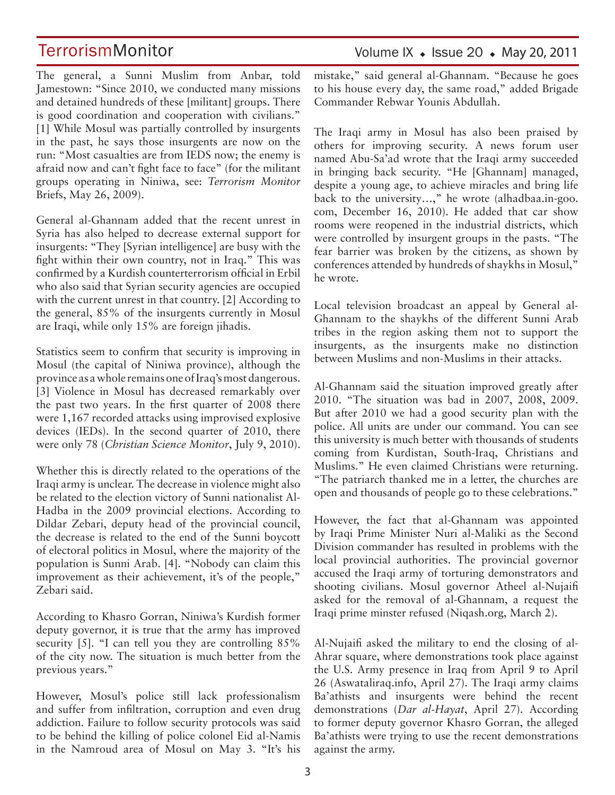The general, a Sunni Muslim from Anbar, told Jamestown: "Since 2010, we conducted many missions and detained hundreds of these [militant] groups. There is good coordination and cooperation with civilians." [1] While Mosul was partially controlled by insurgents in the past, he says those insurgents are now on the run: "Most casualties are from IEDS now; the enemy is afraid now and can't fight face to face" (for the militant groups operating in Niniwa, see: *Terrorism Monitor*  Briefs, May 26, 2009).

General al-Ghannam added that the recent unrest in Syria has also helped to decrease external support for insurgents: "They [Syrian intelligence] are busy with the fight within their own country, not in Iraq." This was confirmed by a Kurdish counterterrorism official in Erbil who also said that Syrian security agencies are occupied with the current unrest in that country. [2] According to the general, 85% of the insurgents currently in Mosul are Iraqi, while only 15% are foreign jihadis.

Statistics seem to confirm that security is improving in Mosul (the capital of Niniwa province), although the province as a whole remains one of Iraq's most dangerous. [3] Violence in Mosul has decreased remarkably over the past two years. In the first quarter of 2008 there were 1,167 recorded attacks using improvised explosive devices (IEDs). In the second quarter of 2010, there were only 78 (*Christian Science Monitor*, July 9, 2010).

Whether this is directly related to the operations of the Iraqi army is unclear. The decrease in violence might also be related to the election victory of Sunni nationalist Al-Hadba in the 2009 provincial elections. According to Dildar Zebari, deputy head of the provincial council, the decrease is related to the end of the Sunni boycott of electoral politics in Mosul, where the majority of the population is Sunni Arab. [4]. "Nobody can claim this improvement as their achievement, it's of the people," Zebari said.

According to Khasro Gorran, Niniwa's Kurdish former deputy governor, it is true that the army has improved security [5]. "I can tell you they are controlling 85% of the city now. The situation is much better from the previous years."

However, Mosul's police still lack professionalism and suffer from infiltration, corruption and even drug addiction. Failure to follow security protocols was said to be behind the killing of police colonel Eid al-Namis in the Namroud area of Mosul on May 3. "It's his Volume IX  $\bullet$  Issue 20  $\bullet$  May 20, 2011

mistake," said general al-Ghannam. "Because he goes to his house every day, the same road," added Brigade Commander Rebwar Younis Abdullah.

The Iraqi army in Mosul has also been praised by others for improving security. A news forum user named Abu-Sa'ad wrote that the Iraqi army succeeded in bringing back security. "He [Ghannam] managed, despite a young age, to achieve miracles and bring life back to the university…," he wrote (alhadbaa.in-goo. com, December 16, 2010). He added that car show rooms were reopened in the industrial districts, which were controlled by insurgent groups in the pasts. "The fear barrier was broken by the citizens, as shown by conferences attended by hundreds of shaykhs in Mosul," he wrote.

Local television broadcast an appeal by General al-Ghannam to the shaykhs of the different Sunni Arab tribes in the region asking them not to support the insurgents, as the insurgents make no distinction between Muslims and non-Muslims in their attacks.

Al-Ghannam said the situation improved greatly after 2010. "The situation was bad in 2007, 2008, 2009. But after 2010 we had a good security plan with the police. All units are under our command. You can see this university is much better with thousands of students coming from Kurdistan, South-Iraq, Christians and Muslims." He even claimed Christians were returning. "The patriarch thanked me in a letter, the churches are open and thousands of people go to these celebrations."

However, the fact that al-Ghannam was appointed by Iraqi Prime Minister Nuri al-Maliki as the Second Division commander has resulted in problems with the local provincial authorities. The provincial governor accused the Iraqi army of torturing demonstrators and shooting civilians. Mosul governor Atheel al-Nujaifi asked for the removal of al-Ghannam, a request the Iraqi prime minster refused (Niqash.org, March 2).

Al-Nujaifi asked the military to end the closing of al-Ahrar square, where demonstrations took place against the U.S. Army presence in Iraq from April 9 to April 26 (Aswataliraq.info, April 27). The Iraqi army claims Ba'athists and insurgents were behind the recent demonstrations (*Dar al-Hayat*, April 27). According to former deputy governor Khasro Gorran, the alleged Ba'athists were trying to use the recent demonstrations against the army.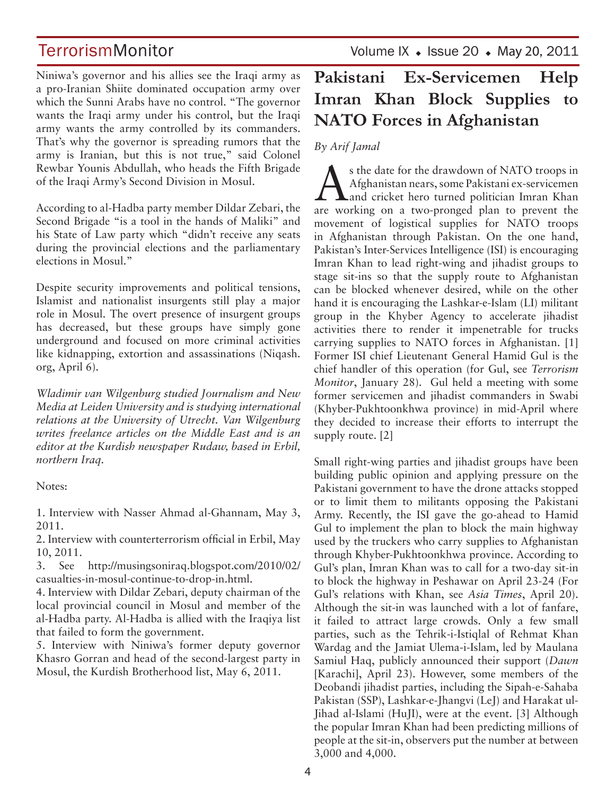Niniwa's governor and his allies see the Iraqi army as a pro-Iranian Shiite dominated occupation army over which the Sunni Arabs have no control. "The governor wants the Iraqi army under his control, but the Iraqi army wants the army controlled by its commanders. That's why the governor is spreading rumors that the army is Iranian, but this is not true," said Colonel Rewbar Younis Abdullah, who heads the Fifth Brigade of the Iraqi Army's Second Division in Mosul.

According to al-Hadba party member Dildar Zebari, the Second Brigade "is a tool in the hands of Maliki" and his State of Law party which "didn't receive any seats during the provincial elections and the parliamentary elections in Mosul."

Despite security improvements and political tensions, Islamist and nationalist insurgents still play a major role in Mosul. The overt presence of insurgent groups has decreased, but these groups have simply gone underground and focused on more criminal activities like kidnapping, extortion and assassinations (Niqash. org, April 6).

*Wladimir van Wilgenburg studied Journalism and New Media at Leiden University and is studying international relations at the University of Utrecht. Van Wilgenburg writes freelance articles on the Middle East and is an editor at the Kurdish newspaper Rudaw, based in Erbil, northern Iraq.* 

Notes:

1. Interview with Nasser Ahmad al-Ghannam, May 3, 2011.

2. Interview with counterterrorism official in Erbil, May 10, 2011.

3. See http://musingsoniraq.blogspot.com/2010/02/ casualties-in-mosul-continue-to-drop-in.html.

4. Interview with Dildar Zebari, deputy chairman of the local provincial council in Mosul and member of the al-Hadba party. Al-Hadba is allied with the Iraqiya list that failed to form the government.

5. Interview with Niniwa's former deputy governor Khasro Gorran and head of the second-largest party in Mosul, the Kurdish Brotherhood list, May 6, 2011.

TerrorismMonitor Volume IX + Issue 20 + May 20, 2011

## **Pakistani Ex-Servicemen Help Imran Khan Block Supplies to NATO Forces in Afghanistan**

#### *By Arif Jamal*

As the date for the drawdown of NATO troops in<br>Afghanistan nears, some Pakistani ex-servicemen<br>and cricket hero turned politician Imran Khan Afghanistan nears, some Pakistani ex-servicemen are working on a two-pronged plan to prevent the movement of logistical supplies for NATO troops in Afghanistan through Pakistan. On the one hand, Pakistan's Inter-Services Intelligence (ISI) is encouraging Imran Khan to lead right-wing and jihadist groups to stage sit-ins so that the supply route to Afghanistan can be blocked whenever desired, while on the other hand it is encouraging the Lashkar-e-Islam (LI) militant group in the Khyber Agency to accelerate jihadist activities there to render it impenetrable for trucks carrying supplies to NATO forces in Afghanistan. [1] Former ISI chief Lieutenant General Hamid Gul is the chief handler of this operation (for Gul, see *Terrorism Monitor*, January 28). Gul held a meeting with some former servicemen and jihadist commanders in Swabi (Khyber-Pukhtoonkhwa province) in mid-April where they decided to increase their efforts to interrupt the supply route. [2]

Small right-wing parties and jihadist groups have been building public opinion and applying pressure on the Pakistani government to have the drone attacks stopped or to limit them to militants opposing the Pakistani Army. Recently, the ISI gave the go-ahead to Hamid Gul to implement the plan to block the main highway used by the truckers who carry supplies to Afghanistan through Khyber-Pukhtoonkhwa province. According to Gul's plan, Imran Khan was to call for a two-day sit-in to block the highway in Peshawar on April 23-24 (For Gul's relations with Khan, see *Asia Times*, April 20). Although the sit-in was launched with a lot of fanfare, it failed to attract large crowds. Only a few small parties, such as the Tehrik-i-Istiqlal of Rehmat Khan Wardag and the Jamiat Ulema-i-Islam, led by Maulana Samiul Haq, publicly announced their support (*Dawn*  [Karachi], April 23). However, some members of the Deobandi jihadist parties, including the Sipah-e-Sahaba Pakistan (SSP), Lashkar-e-Jhangvi (LeJ) and Harakat ul-Jihad al-Islami (HuJI), were at the event. [3] Although the popular Imran Khan had been predicting millions of people at the sit-in, observers put the number at between 3,000 and 4,000.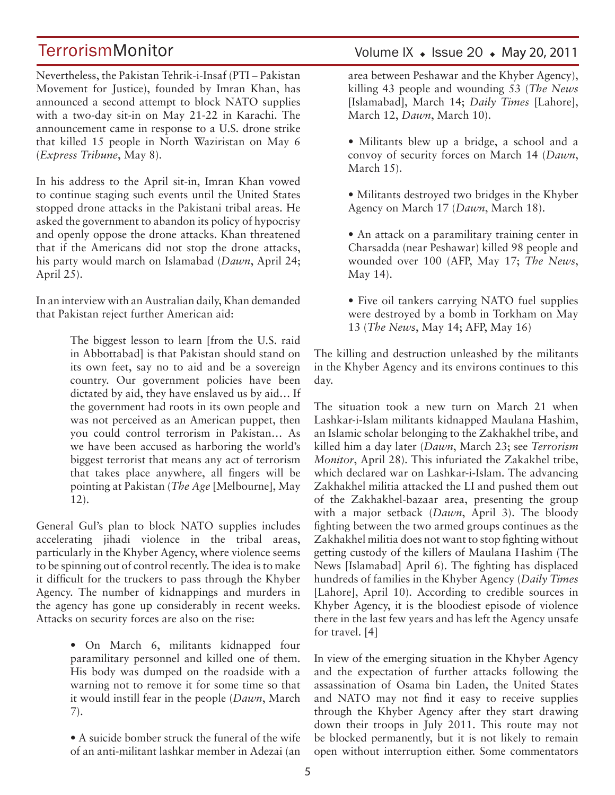Nevertheless, the Pakistan Tehrik-i-Insaf (PTI – Pakistan Movement for Justice), founded by Imran Khan, has announced a second attempt to block NATO supplies with a two-day sit-in on May 21-22 in Karachi. The announcement came in response to a U.S. drone strike that killed 15 people in North Waziristan on May 6 (*Express Tribune*, May 8).

In his address to the April sit-in, Imran Khan vowed to continue staging such events until the United States stopped drone attacks in the Pakistani tribal areas. He asked the government to abandon its policy of hypocrisy and openly oppose the drone attacks. Khan threatened that if the Americans did not stop the drone attacks, his party would march on Islamabad (*Dawn*, April 24; April 25).

In an interview with an Australian daily, Khan demanded that Pakistan reject further American aid:

> The biggest lesson to learn [from the U.S. raid in Abbottabad] is that Pakistan should stand on its own feet, say no to aid and be a sovereign country. Our government policies have been dictated by aid, they have enslaved us by aid… If the government had roots in its own people and was not perceived as an American puppet, then you could control terrorism in Pakistan… As we have been accused as harboring the world's biggest terrorist that means any act of terrorism that takes place anywhere, all fingers will be pointing at Pakistan (*The Age* [Melbourne], May 12).

General Gul's plan to block NATO supplies includes accelerating jihadi violence in the tribal areas, particularly in the Khyber Agency, where violence seems to be spinning out of control recently. The idea is to make it difficult for the truckers to pass through the Khyber Agency. The number of kidnappings and murders in the agency has gone up considerably in recent weeks. Attacks on security forces are also on the rise:

> • On March 6, militants kidnapped four paramilitary personnel and killed one of them. His body was dumped on the roadside with a warning not to remove it for some time so that it would instill fear in the people (*Dawn*, March 7).

> • A suicide bomber struck the funeral of the wife of an anti-militant lashkar member in Adezai (an

### Volume IX  $\bullet$  Issue 20  $\bullet$  May 20, 2011

area between Peshawar and the Khyber Agency), killing 43 people and wounding 53 (*The News*  [Islamabad], March 14; *Daily Times* [Lahore], March 12, *Dawn*, March 10).

- Militants blew up a bridge, a school and a convoy of security forces on March 14 (*Dawn*, March 15).
- Militants destroyed two bridges in the Khyber Agency on March 17 (*Dawn*, March 18).
- An attack on a paramilitary training center in Charsadda (near Peshawar) killed 98 people and wounded over 100 (AFP, May 17; *The News*, May 14).
- Five oil tankers carrying NATO fuel supplies were destroyed by a bomb in Torkham on May 13 (*The News*, May 14; AFP, May 16)

The killing and destruction unleashed by the militants in the Khyber Agency and its environs continues to this day.

The situation took a new turn on March 21 when Lashkar-i-Islam militants kidnapped Maulana Hashim, an Islamic scholar belonging to the Zakhakhel tribe, and killed him a day later (*Dawn*, March 23; see *Terrorism Monitor*, April 28). This infuriated the Zakakhel tribe, which declared war on Lashkar-i-Islam. The advancing Zakhakhel militia attacked the LI and pushed them out of the Zakhakhel-bazaar area, presenting the group with a major setback (*Dawn*, April 3). The bloody fighting between the two armed groups continues as the Zakhakhel militia does not want to stop fighting without getting custody of the killers of Maulana Hashim (The News [Islamabad] April 6). The fighting has displaced hundreds of families in the Khyber Agency (*Daily Times*  [Lahore], April 10). According to credible sources in Khyber Agency, it is the bloodiest episode of violence there in the last few years and has left the Agency unsafe for travel. [4]

In view of the emerging situation in the Khyber Agency and the expectation of further attacks following the assassination of Osama bin Laden, the United States and NATO may not find it easy to receive supplies through the Khyber Agency after they start drawing down their troops in July 2011. This route may not be blocked permanently, but it is not likely to remain open without interruption either. Some commentators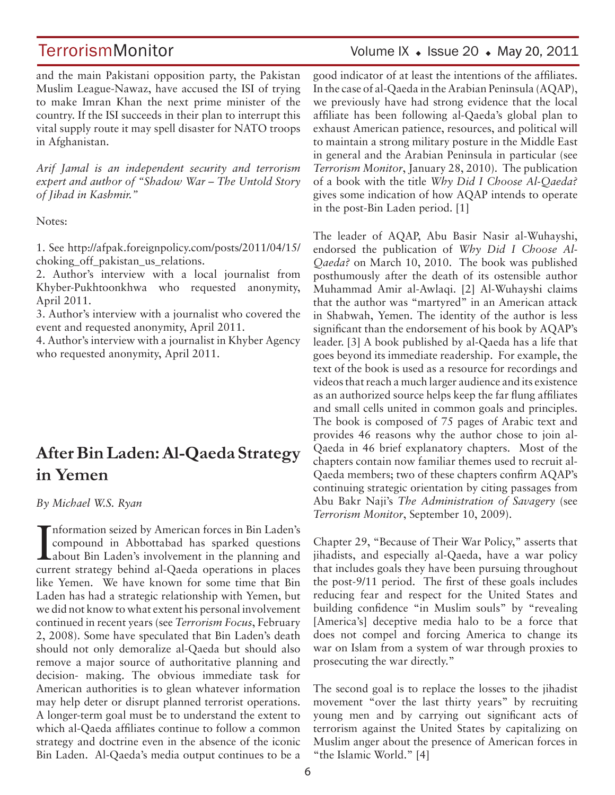TerrorismMonitor Volume IX + Issue 20 + May 20, 2011

and the main Pakistani opposition party, the Pakistan Muslim League-Nawaz, have accused the ISI of trying to make Imran Khan the next prime minister of the country. If the ISI succeeds in their plan to interrupt this vital supply route it may spell disaster for NATO troops in Afghanistan.

*Arif Jamal is an independent security and terrorism expert and author of "Shadow War – The Untold Story of Jihad in Kashmir."*

Notes:

1. See http://afpak.foreignpolicy.com/posts/2011/04/15/ choking off pakistan us relations.

2. Author's interview with a local journalist from Khyber-Pukhtoonkhwa who requested anonymity, April 2011.

3. Author's interview with a journalist who covered the event and requested anonymity, April 2011.

4. Author's interview with a journalist in Khyber Agency who requested anonymity, April 2011.

## **After Bin Laden: Al-Qaeda Strategy in Yemen**

*By Michael W.S. Ryan*

Information seized by American forces in Bin Laden's<br>compound in Abbottabad has sparked questions<br>about Bin Laden's involvement in the planning and<br>numerate strategy hobind al Qooda approximation in places nformation seized by American forces in Bin Laden's compound in Abbottabad has sparked questions current strategy behind al-Qaeda operations in places like Yemen. We have known for some time that Bin Laden has had a strategic relationship with Yemen, but we did not know to what extent his personal involvement continued in recent years (see *Terrorism Focus*, February 2, 2008). Some have speculated that Bin Laden's death should not only demoralize al-Qaeda but should also remove a major source of authoritative planning and decision- making. The obvious immediate task for American authorities is to glean whatever information may help deter or disrupt planned terrorist operations. A longer-term goal must be to understand the extent to which al-Qaeda affiliates continue to follow a common strategy and doctrine even in the absence of the iconic Bin Laden. Al-Qaeda's media output continues to be a

good indicator of at least the intentions of the affiliates. In the case of al-Qaeda in the Arabian Peninsula (AQAP), we previously have had strong evidence that the local affiliate has been following al-Qaeda's global plan to exhaust American patience, resources, and political will to maintain a strong military posture in the Middle East in general and the Arabian Peninsula in particular (see *Terrorism Monitor*, January 28, 2010). The publication of a book with the title *Why Did I Choose Al-Qaeda?*  gives some indication of how AQAP intends to operate in the post-Bin Laden period. [1]

The leader of AQAP, Abu Basir Nasir al-Wuhayshi, endorsed the publication of *Why Did I Choose Al-Qaeda?* on March 10, 2010. The book was published posthumously after the death of its ostensible author Muhammad Amir al-Awlaqi. [2] Al-Wuhayshi claims that the author was "martyred" in an American attack in Shabwah, Yemen. The identity of the author is less significant than the endorsement of his book by AQAP's leader. [3] A book published by al-Qaeda has a life that goes beyond its immediate readership. For example, the text of the book is used as a resource for recordings and videos that reach a much larger audience and its existence as an authorized source helps keep the far flung affiliates and small cells united in common goals and principles. The book is composed of 75 pages of Arabic text and provides 46 reasons why the author chose to join al-Qaeda in 46 brief explanatory chapters. Most of the chapters contain now familiar themes used to recruit al-Qaeda members; two of these chapters confirm AQAP's continuing strategic orientation by citing passages from Abu Bakr Naji's *The Administration of Savagery* (see *Terrorism Monitor*, September 10, 2009).

Chapter 29, "Because of Their War Policy," asserts that jihadists, and especially al-Qaeda, have a war policy that includes goals they have been pursuing throughout the post-9/11 period. The first of these goals includes reducing fear and respect for the United States and building confidence "in Muslim souls" by "revealing [America's] deceptive media halo to be a force that does not compel and forcing America to change its war on Islam from a system of war through proxies to prosecuting the war directly."

The second goal is to replace the losses to the jihadist movement "over the last thirty years" by recruiting young men and by carrying out significant acts of terrorism against the United States by capitalizing on Muslim anger about the presence of American forces in "the Islamic World." [4]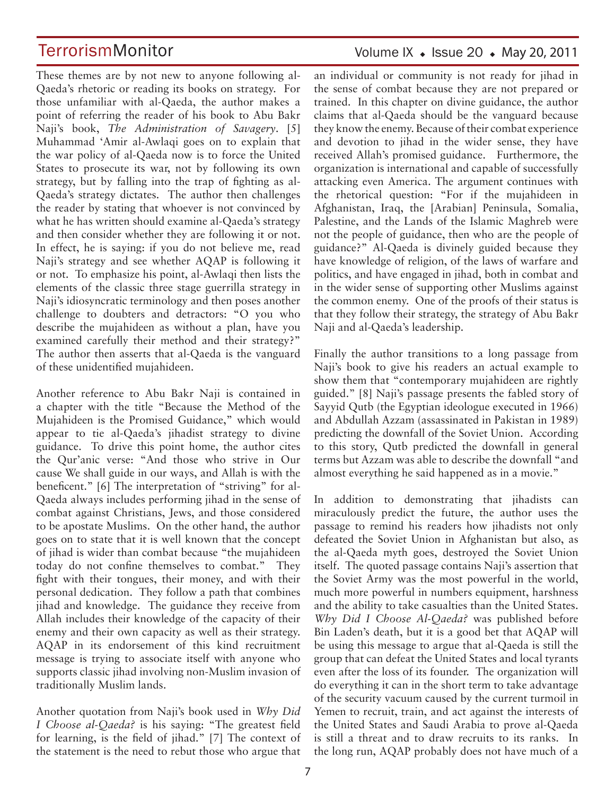These themes are by not new to anyone following al-Qaeda's rhetoric or reading its books on strategy. For those unfamiliar with al-Qaeda, the author makes a point of referring the reader of his book to Abu Bakr Naji's book, *The Administration of Savagery*. [5] Muhammad 'Amir al-Awlaqi goes on to explain that the war policy of al-Qaeda now is to force the United States to prosecute its war, not by following its own strategy, but by falling into the trap of fighting as al-Qaeda's strategy dictates. The author then challenges the reader by stating that whoever is not convinced by what he has written should examine al-Qaeda's strategy and then consider whether they are following it or not. In effect, he is saying: if you do not believe me, read Naji's strategy and see whether AQAP is following it or not. To emphasize his point, al-Awlaqi then lists the elements of the classic three stage guerrilla strategy in Naji's idiosyncratic terminology and then poses another challenge to doubters and detractors: "O you who describe the mujahideen as without a plan, have you examined carefully their method and their strategy?" The author then asserts that al-Qaeda is the vanguard of these unidentified mujahideen.

Another reference to Abu Bakr Naji is contained in a chapter with the title "Because the Method of the Mujahideen is the Promised Guidance," which would appear to tie al-Qaeda's jihadist strategy to divine guidance. To drive this point home, the author cites the Qur'anic verse: "And those who strive in Our cause We shall guide in our ways, and Allah is with the beneficent." [6] The interpretation of "striving" for al-Qaeda always includes performing jihad in the sense of combat against Christians, Jews, and those considered to be apostate Muslims. On the other hand, the author goes on to state that it is well known that the concept of jihad is wider than combat because "the mujahideen today do not confine themselves to combat." They fight with their tongues, their money, and with their personal dedication. They follow a path that combines jihad and knowledge. The guidance they receive from Allah includes their knowledge of the capacity of their enemy and their own capacity as well as their strategy. AQAP in its endorsement of this kind recruitment message is trying to associate itself with anyone who supports classic jihad involving non-Muslim invasion of traditionally Muslim lands.

Another quotation from Naji's book used in *Why Did I Choose al-Qaeda?* is his saying: "The greatest field for learning, is the field of jihad." [7] The context of the statement is the need to rebut those who argue that

### Volume IX  $\bullet$  Issue 20  $\bullet$  May 20, 2011

an individual or community is not ready for jihad in the sense of combat because they are not prepared or trained. In this chapter on divine guidance, the author claims that al-Qaeda should be the vanguard because they know the enemy. Because of their combat experience and devotion to jihad in the wider sense, they have received Allah's promised guidance. Furthermore, the organization is international and capable of successfully attacking even America. The argument continues with the rhetorical question: "For if the mujahideen in Afghanistan, Iraq, the [Arabian] Peninsula, Somalia, Palestine, and the Lands of the Islamic Maghreb were not the people of guidance, then who are the people of guidance?" Al-Qaeda is divinely guided because they have knowledge of religion, of the laws of warfare and politics, and have engaged in jihad, both in combat and in the wider sense of supporting other Muslims against the common enemy. One of the proofs of their status is that they follow their strategy, the strategy of Abu Bakr Naji and al-Qaeda's leadership.

Finally the author transitions to a long passage from Naji's book to give his readers an actual example to show them that "contemporary mujahideen are rightly guided." [8] Naji's passage presents the fabled story of Sayyid Qutb (the Egyptian ideologue executed in 1966) and Abdullah Azzam (assassinated in Pakistan in 1989) predicting the downfall of the Soviet Union. According to this story, Qutb predicted the downfall in general terms but Azzam was able to describe the downfall "and almost everything he said happened as in a movie."

In addition to demonstrating that jihadists can miraculously predict the future, the author uses the passage to remind his readers how jihadists not only defeated the Soviet Union in Afghanistan but also, as the al-Qaeda myth goes, destroyed the Soviet Union itself. The quoted passage contains Naji's assertion that the Soviet Army was the most powerful in the world, much more powerful in numbers equipment, harshness and the ability to take casualties than the United States. *Why Did I Choose Al-Qaeda?* was published before Bin Laden's death, but it is a good bet that AQAP will be using this message to argue that al-Qaeda is still the group that can defeat the United States and local tyrants even after the loss of its founder. The organization will do everything it can in the short term to take advantage of the security vacuum caused by the current turmoil in Yemen to recruit, train, and act against the interests of the United States and Saudi Arabia to prove al-Qaeda is still a threat and to draw recruits to its ranks. In the long run, AQAP probably does not have much of a